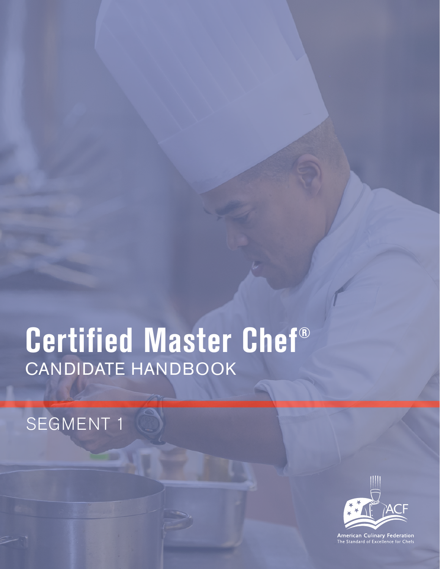# **Certified Master Chef®** candidate handbook

# SEGMENT 1



**American Culinary Federation**<br>The Standard of Excellence for Chefs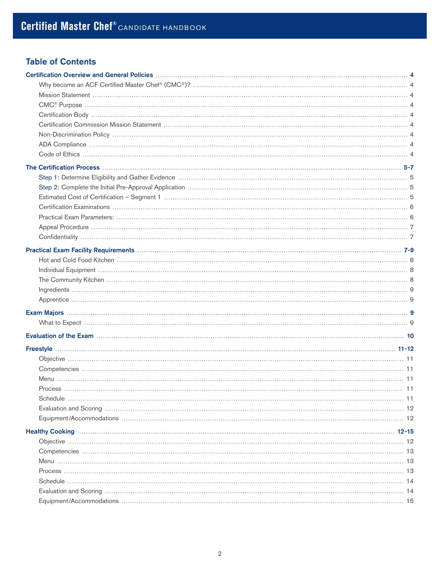# Table of Contents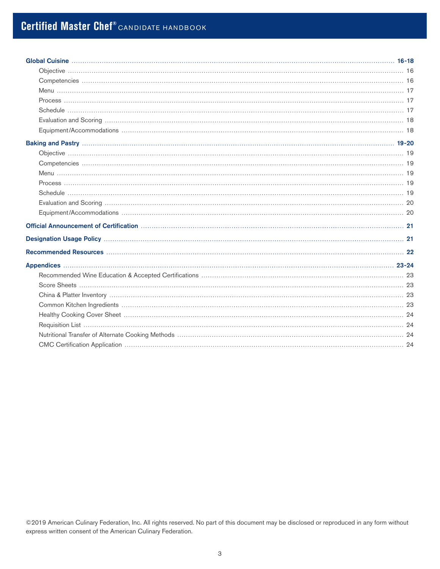©2019 American Culinary Federation, Inc. All rights reserved. No part of this document may be disclosed or reproduced in any form without express written consent of the American Culinary Federation.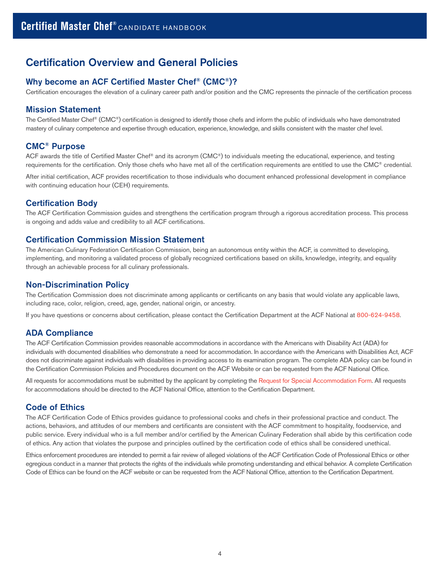# <span id="page-3-0"></span>Certification Overview and General Policies

# Why become an ACF Certified Master Chef® (CMC®)?

Certification encourages the elevation of a culinary career path and/or position and the CMC represents the pinnacle of the certification process

## Mission Statement

The Certified Master Chef® (CMC®) certification is designed to identify those chefs and inform the public of individuals who have demonstrated mastery of culinary competence and expertise through education, experience, knowledge, and skills consistent with the master chef level.

# CMC® Purpose

ACF awards the title of Certified Master Chef® and its acronym (CMC®) to individuals meeting the educational, experience, and testing requirements for the certification. Only those chefs who have met all of the certification requirements are entitled to use the CMC® credential.

After initial certification, ACF provides recertification to those individuals who document enhanced professional development in compliance with continuing education hour (CEH) requirements.

# Certification Body

The ACF Certification Commission guides and strengthens the certification program through a rigorous accreditation process. This process is ongoing and adds value and credibility to all ACF certifications.

## Certification Commission Mission Statement

The American Culinary Federation Certification Commission, being an autonomous entity within the ACF, is committed to developing, implementing, and monitoring a validated process of globally recognized certifications based on skills, knowledge, integrity, and equality through an achievable process for all culinary professionals.

## Non-Discrimination Policy

The Certification Commission does not discriminate among applicants or certificants on any basis that would violate any applicable laws, including race, color, religion, creed, age, gender, national origin, or ancestry.

If you have questions or concerns about certification, please contact the Certification Department at the ACF National at 800-624-9458.

## ADA Compliance

The ACF Certification Commission provides reasonable accommodations in accordance with the Americans with Disability Act (ADA) for individuals with documented disabilities who demonstrate a need for accommodation. In accordance with the Americans with Disabilities Act, ACF does not discriminate against individuals with disabilities in providing access to its examination program. The complete ADA policy can be found in the Certification Commission Policies and Procedures document on the ACF Website or can be requested from the ACF National Office.

All requests for accommodations must be submitted by the applicant by completing the [Request for Special Accommodation Form](http://www.acfchefs.org/download/documents/certify/request_special_accommodations.pdf). All requests for accommodations should be directed to the ACF National Office, attention to the Certification Department.

# Code of Ethics

The ACF Certification Code of Ethics provides guidance to professional cooks and chefs in their professional practice and conduct. The actions, behaviors, and attitudes of our members and certificants are consistent with the ACF commitment to hospitality, foodservice, and public service. Every individual who is a full member and/or certified by the American Culinary Federation shall abide by this certification code of ethics. Any action that violates the purpose and principles outlined by the certification code of ethics shall be considered unethical.

Ethics enforcement procedures are intended to permit a fair review of alleged violations of the ACF Certification Code of Professional Ethics or other egregious conduct in a manner that protects the rights of the individuals while promoting understanding and ethical behavior. A complete Certification Code of Ethics can be found on the ACF website or can be requested from the ACF National Office, attention to the Certification Department.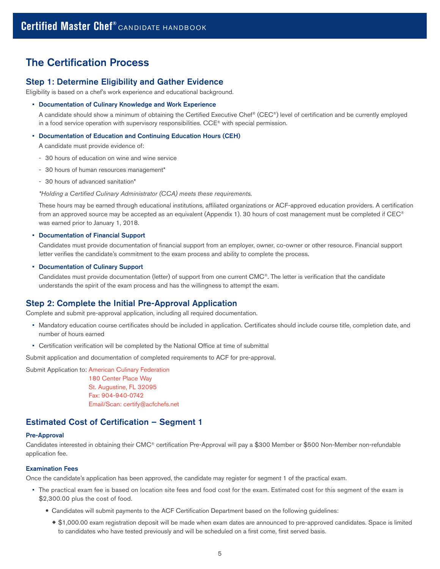# <span id="page-4-0"></span>The Certification Process

### Step 1: Determine Eligibility and Gather Evidence

Eligibility is based on a chef's work experience and educational background.

#### • Documentation of Culinary Knowledge and Work Experience

A candidate should show a minimum of obtaining the Certified Executive Chef® (CEC®) level of certification and be currently employed in a food service operation with supervisory responsibilities. CCE® with special permission.

#### • Documentation of Education and Continuing Education Hours (CEH)

A candidate must provide evidence of:

- 30 hours of education on wine and wine service
- 30 hours of human resources management\*
- 30 hours of advanced sanitation\*

\*Holding a Certified Culinary Administrator (CCA) meets these requirements.

These hours may be earned through educational institutions, affiliated organizations or ACF-approved education providers. A certification from an approved source may be accepted as an equivalent (Appendix 1). 30 hours of cost management must be completed if CEC® was earned prior to January 1, 2018.

#### • Documentation of Financial Support

Candidates must provide documentation of financial support from an employer, owner, co-owner or other resource. Financial support letter verifies the candidate's commitment to the exam process and ability to complete the process.

#### • Documentation of Culinary Support

Candidates must provide documentation (letter) of support from one current CMC®. The letter is verification that the candidate understands the spirit of the exam process and has the willingness to attempt the exam.

#### Step 2: Complete the Initial Pre-Approval Application

Complete and submit pre-approval application, including all required documentation.

- Mandatory education course certificates should be included in application. Certificates should include course title, completion date, and number of hours earned
- Certification verification will be completed by the National Office at time of submittal

Submit application and documentation of completed requirements to ACF for pre-approval.

Submit Application to: American Culinary Federation 180 Center Place Way St. Augustine, FL 32095 Fax: 904-940-0742 Email/Scan: [certify@acfchefs.net](mailto:certify%40acfchefs.net?subject=)

### Estimated Cost of Certification – Segment 1

#### Pre-Approval

Candidates interested in obtaining their CMC® certification Pre-Approval will pay a \$300 Member or \$500 Non-Member non-refundable application fee.

#### Examination Fees

Once the candidate's application has been approved, the candidate may register for segment 1 of the practical exam.

- The practical exam fee is based on location site fees and food cost for the exam. Estimated cost for this segment of the exam is \$2,300.00 plus the cost of food.
	- Candidates will submit payments to the ACF Certification Department based on the following guidelines:
		- ® \$1,000.00 exam registration deposit will be made when exam dates are announced to pre-approved candidates. Space is limited to candidates who have tested previously and will be scheduled on a first come, first served basis.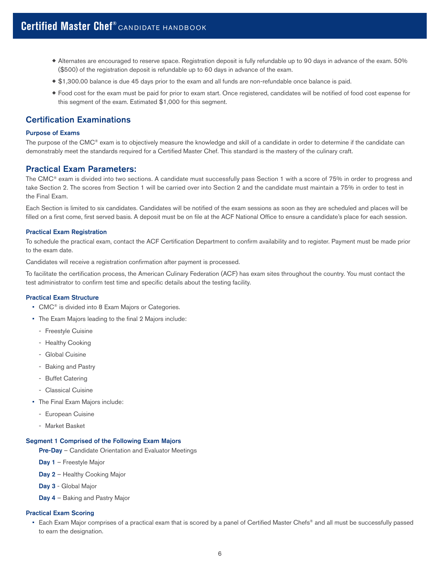- <span id="page-5-0"></span>® Alternates are encouraged to reserve space. Registration deposit is fully refundable up to 90 days in advance of the exam. 50% (\$500) of the registration deposit is refundable up to 60 days in advance of the exam.
- ® \$1,300.00 balance is due 45 days prior to the exam and all funds are non-refundable once balance is paid.
- ® Food cost for the exam must be paid for prior to exam start. Once registered, candidates will be notified of food cost expense for this segment of the exam. Estimated \$1,000 for this segment.

# Certification Examinations

#### Purpose of Exams

The purpose of the CMC® exam is to objectively measure the knowledge and skill of a candidate in order to determine if the candidate can demonstrably meet the standards required for a Certified Master Chef. This standard is the mastery of the culinary craft.

#### Practical Exam Parameters:

The CMC® exam is divided into two sections. A candidate must successfully pass Section 1 with a score of 75% in order to progress and take Section 2. The scores from Section 1 will be carried over into Section 2 and the candidate must maintain a 75% in order to test in the Final Exam.

Each Section is limited to six candidates. Candidates will be notified of the exam sessions as soon as they are scheduled and places will be filled on a first come, first served basis. A deposit must be on file at the ACF National Office to ensure a candidate's place for each session.

#### Practical Exam Registration

To schedule the practical exam, contact the ACF Certification Department to confirm availability and to register. Payment must be made prior to the exam date.

Candidates will receive a registration confirmation after payment is processed.

To facilitate the certification process, the American Culinary Federation (ACF) has exam sites throughout the country. You must contact the test administrator to confirm test time and specific details about the testing facility.

#### Practical Exam Structure

- CMC<sup>®</sup> is divided into 8 Exam Majors or Categories.
- The Exam Majors leading to the final 2 Majors include:
	- Freestyle Cuisine
	- Healthy Cooking
	- Global Cuisine
	- Baking and Pastry
	- Buffet Catering
	- Classical Cuisine
- The Final Exam Majors include:
- European Cuisine
- Market Basket

#### Segment 1 Comprised of the Following Exam Majors

Pre-Day - Candidate Orientation and Evaluator Meetings

Day 1 - Freestyle Major

Day 2 - Healthy Cooking Major

- Day 3 Global Major
- Day 4 Baking and Pastry Major

#### Practical Exam Scoring

• Each Exam Major comprises of a practical exam that is scored by a panel of Certified Master Chefs® and all must be successfully passed to earn the designation.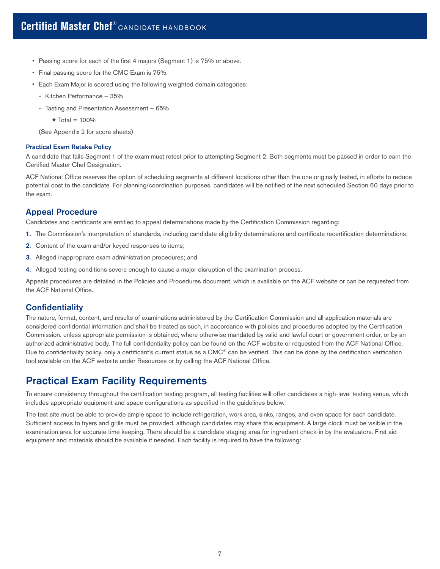- <span id="page-6-0"></span>• Passing score for each of the first 4 majors (Segment 1) is 75% or above.
- Final passing score for the CMC Exam is 75%.
- Each Exam Major is scored using the following weighted domain categories:
	- Kitchen Performance 35%
	- Tasting and Presentation Assessment 65%
		- $\triangleleft$  Total = 100%

(See Appendix 2 for score sheets)

#### Practical Exam Retake Policy

A candidate that fails Segment 1 of the exam must retest prior to attempting Segment 2. Both segments must be passed in order to earn the Certified Master Chef Designation.

ACF National Office reserves the option of scheduling segments at different locations other than the one originally tested, in efforts to reduce potential cost to the candidate. For planning/coordination purposes, candidates will be notified of the next scheduled Section 60 days prior to the exam.

## Appeal Procedure

Candidates and certificants are entitled to appeal determinations made by the Certification Commission regarding:

- 1. The Commission's interpretation of standards, including candidate eligibility determinations and certificate recertification determinations;
- 2. Content of the exam and/or keyed responses to items;
- 3. Alleged inappropriate exam administration procedures; and
- 4. Alleged testing conditions severe enough to cause a major disruption of the examination process.

Appeals procedures are detailed in the Policies and Procedures document, which is available on the ACF website or can be requested from the ACF National Office.

# **Confidentiality**

The nature, format, content, and results of examinations administered by the Certification Commission and all application materials are considered confidential information and shall be treated as such, in accordance with policies and procedures adopted by the Certification Commission, unless appropriate permission is obtained, where otherwise mandated by valid and lawful court or government order, or by an authorized administrative body. The full confidentiality policy can be found on the ACF website or requested from the ACF National Office. Due to confidentiality policy, only a certificant's current status as a CMC® can be verified. This can be done by the certification verification tool available on the ACF website under Resources or by calling the ACF National Office.

# Practical Exam Facility Requirements

To ensure consistency throughout the certification testing program, all testing facilities will offer candidates a high-level testing venue, which includes appropriate equipment and space configurations as specified in the guidelines below.

The test site must be able to provide ample space to include refrigeration, work area, sinks, ranges, and oven space for each candidate. Sufficient access to fryers and grills must be provided, although candidates may share this equipment. A large clock must be visible in the examination area for accurate time keeping. There should be a candidate staging area for ingredient check-in by the evaluators. First aid equipment and materials should be available if needed. Each facility is required to have the following: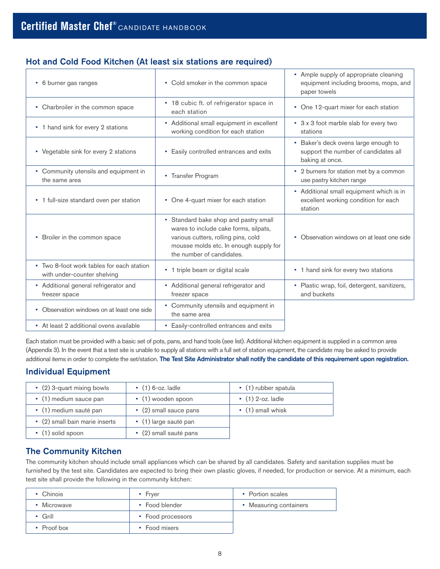# <span id="page-7-0"></span>Hot and Cold Food Kitchen (At least six stations are required)

| • 6 burner gas ranges                                                    | • Cold smoker in the common space                                                                                                                                                            | • Ample supply of appropriate cleaning<br>equipment including brooms, mops, and<br>paper towels |
|--------------------------------------------------------------------------|----------------------------------------------------------------------------------------------------------------------------------------------------------------------------------------------|-------------------------------------------------------------------------------------------------|
| • Charbroiler in the common space                                        | • 18 cubic ft. of refrigerator space in<br>each station                                                                                                                                      | • One 12-quart mixer for each station                                                           |
| • 1 hand sink for every 2 stations                                       | • Additional small equipment in excellent<br>working condition for each station                                                                                                              | • 3 x 3 foot marble slab for every two<br>stations                                              |
| • Vegetable sink for every 2 stations                                    | • Easily controlled entrances and exits                                                                                                                                                      | • Baker's deck ovens large enough to<br>support the number of candidates all<br>baking at once. |
| • Community utensils and equipment in<br>the same area                   | • Transfer Program                                                                                                                                                                           | • 2 burners for station met by a common<br>use pastry kitchen range                             |
| • 1 full-size standard oven per station                                  | • One 4-quart mixer for each station                                                                                                                                                         | • Additional small equipment which is in<br>excellent working condition for each<br>station     |
| • Broiler in the common space                                            | • Standard bake shop and pastry small<br>wares to include cake forms, silpats,<br>various cutters, rolling pins, cold<br>mousse molds etc. In enough supply for<br>the number of candidates. | • Observation windows on at least one side                                                      |
| • Two 8-foot work tables for each station<br>with under-counter shelving | • 1 triple beam or digital scale                                                                                                                                                             | • 1 hand sink for every two stations                                                            |
| • Additional general refrigerator and<br>freezer space                   | • Additional general refrigerator and<br>freezer space                                                                                                                                       | • Plastic wrap, foil, detergent, sanitizers,<br>and buckets                                     |
| • Observation windows on at least one side                               | • Community utensils and equipment in<br>the same area                                                                                                                                       |                                                                                                 |
| • At least 2 additional ovens available                                  | • Easily-controlled entrances and exits                                                                                                                                                      |                                                                                                 |

Each station must be provided with a basic set of pots, pans, and hand tools (see list). Additional kitchen equipment is supplied in a common area (Appendix 3). In the event that a test site is unable to supply all stations with a full set of station equipment, the candidate may be asked to provide additional items in order to complete the set/station. The Test Site Administrator shall notify the candidate of this requirement upon registration.

# Individual Equipment

| $\cdot$ (2) 3-quart mixing bowls | $\bullet$ (1) 6-oz. ladle    | $\bullet$ (1) rubber spatula |
|----------------------------------|------------------------------|------------------------------|
| • (1) medium sauce pan           | $\cdot$ (1) wooden spoon     | $(1)$ 2-oz. ladle            |
| • (1) medium sauté pan           | $\cdot$ (2) small sauce pans | $\bullet$ (1) small whisk    |
| • (2) small bain marie inserts   | • (1) large sauté pan        |                              |
| $\cdot$ (1) solid spoon          | $\cdot$ (2) small sauté pans |                              |

# The Community Kitchen

The community kitchen should include small appliances which can be shared by all candidates. Safety and sanitation supplies must be furnished by the test site. Candidates are expected to bring their own plastic gloves, if needed, for production or service. At a minimum, each test site shall provide the following in the community kitchen:

| • Chinois      | Fryer<br>ш        | • Portion scales       |
|----------------|-------------------|------------------------|
| Microwave<br>٠ | • Food blender    | • Measuring containers |
| Grill          | • Food processors |                        |
| Proof box      | Food mixers       |                        |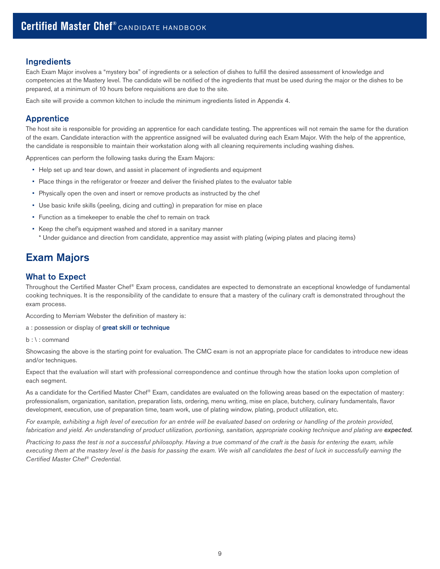# <span id="page-8-0"></span>**Ingredients**

Each Exam Major involves a "mystery box" of ingredients or a selection of dishes to fulfill the desired assessment of knowledge and competencies at the Mastery level. The candidate will be notified of the ingredients that must be used during the major or the dishes to be prepared, at a minimum of 10 hours before requisitions are due to the site.

Each site will provide a common kitchen to include the minimum ingredients listed in Appendix 4.

# Apprentice

The host site is responsible for providing an apprentice for each candidate testing. The apprentices will not remain the same for the duration of the exam. Candidate interaction with the apprentice assigned will be evaluated during each Exam Major. With the help of the apprentice, the candidate is responsible to maintain their workstation along with all cleaning requirements including washing dishes.

Apprentices can perform the following tasks during the Exam Majors:

- Help set up and tear down, and assist in placement of ingredients and equipment
- Place things in the refrigerator or freezer and deliver the finished plates to the evaluator table
- Physically open the oven and insert or remove products as instructed by the chef
- Use basic knife skills (peeling, dicing and cutting) in preparation for mise en place
- Function as a timekeeper to enable the chef to remain on track
- Keep the chef's equipment washed and stored in a sanitary manner \* Under guidance and direction from candidate, apprentice may assist with plating (wiping plates and placing items)

# Exam Majors

# What to Expect

Throughout the Certified Master Chef® Exam process, candidates are expected to demonstrate an exceptional knowledge of fundamental cooking techniques. It is the responsibility of the candidate to ensure that a mastery of the culinary craft is demonstrated throughout the exam process.

According to Merriam Webster the definition of mastery is:

a : possession or display of great skill or technique

b : \ : command

Showcasing the above is the starting point for evaluation. The CMC exam is not an appropriate place for candidates to introduce new ideas and/or techniques.

Expect that the evaluation will start with professional correspondence and continue through how the station looks upon completion of each segment.

As a candidate for the Certified Master Chef® Exam, candidates are evaluated on the following areas based on the expectation of mastery: professionalism, organization, sanitation, preparation lists, ordering, menu writing, mise en place, butchery, culinary fundamentals, flavor development, execution, use of preparation time, team work, use of plating window, plating, product utilization, etc.

For example, exhibiting a high level of execution for an entrée will be evaluated based on ordering or handling of the protein provided, fabrication and yield. An understanding of product utilization, portioning, sanitation, appropriate cooking technique and plating are *expected.*

Practicing to pass the test is not a successful philosophy. Having a true command of the craft is the basis for entering the exam, while executing them at the mastery level is the basis for passing the exam. We wish all candidates the best of luck in successfully earning the Certified Master Chef*®* Credential.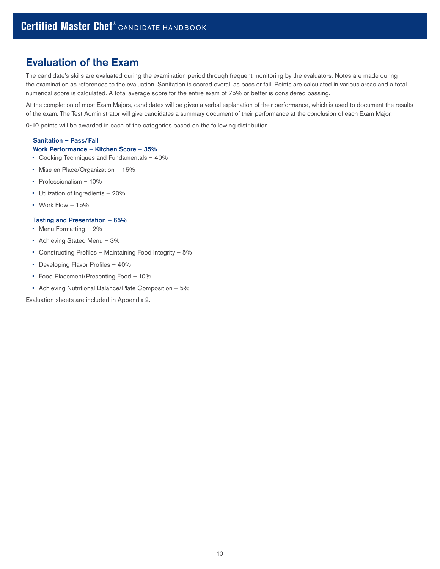# Evaluation of the Exam

The candidate's skills are evaluated during the examination period through frequent monitoring by the evaluators. Notes are made during the examination as references to the evaluation. Sanitation is scored overall as pass or fail. Points are calculated in various areas and a total numerical score is calculated. A total average score for the entire exam of 75% or better is considered passing.

At the completion of most Exam Majors, candidates will be given a verbal explanation of their performance, which is used to document the results of the exam. The Test Administrator will give candidates a summary document of their performance at the conclusion of each Exam Major.

0-10 points will be awarded in each of the categories based on the following distribution:

### Sanitation – Pass/Fail Work Performance – Kitchen Score – 35%

- Cooking Techniques and Fundamentals 40%
- Mise en Place/Organization 15%
- Professionalism 10%
- Utilization of Ingredients 20%
- Work Flow 15%

#### Tasting and Presentation – 65%

- Menu Formatting 2%
- Achieving Stated Menu 3%
- Constructing Profiles Maintaining Food Integrity 5%
- Developing Flavor Profiles 40%
- Food Placement/Presenting Food 10%
- Achieving Nutritional Balance/Plate Composition 5%

Evaluation sheets are included in Appendix 2.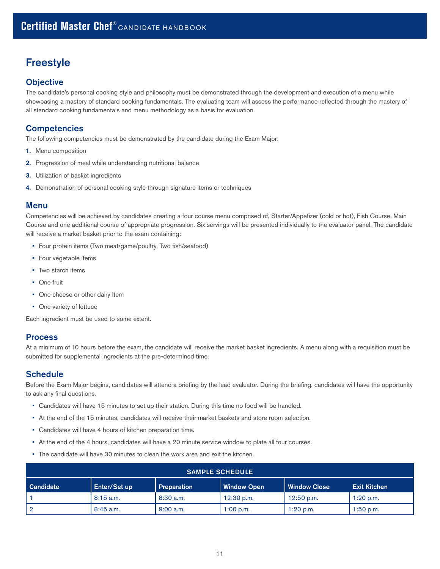# <span id="page-10-0"></span>Freestyle

# **Objective**

The candidate's personal cooking style and philosophy must be demonstrated through the development and execution of a menu while showcasing a mastery of standard cooking fundamentals. The evaluating team will assess the performance reflected through the mastery of all standard cooking fundamentals and menu methodology as a basis for evaluation.

# **Competencies**

The following competencies must be demonstrated by the candidate during the Exam Major:

- 1. Menu composition
- 2. Progression of meal while understanding nutritional balance
- **3.** Utilization of basket ingredients
- 4. Demonstration of personal cooking style through signature items or techniques

# Menu

Competencies will be achieved by candidates creating a four course menu comprised of, Starter/Appetizer (cold or hot), Fish Course, Main Course and one additional course of appropriate progression. Six servings will be presented individually to the evaluator panel. The candidate will receive a market basket prior to the exam containing:

- Four protein items (Two meat/game/poultry, Two fish/seafood)
- Four vegetable items
- Two starch items
- One fruit
- One cheese or other dairy Item
- One variety of lettuce

Each ingredient must be used to some extent.

# Process

At a minimum of 10 hours before the exam, the candidate will receive the market basket ingredients. A menu along with a requisition must be submitted for supplemental ingredients at the pre-determined time.

# **Schedule**

Before the Exam Major begins, candidates will attend a briefing by the lead evaluator. During the briefing, candidates will have the opportunity to ask any final questions.

- Candidates will have 15 minutes to set up their station. During this time no food will be handled.
- At the end of the 15 minutes, candidates will receive their market baskets and store room selection.
- Candidates will have 4 hours of kitchen preparation time.
- At the end of the 4 hours, candidates will have a 20 minute service window to plate all four courses.
- The candidate will have 30 minutes to clean the work area and exit the kitchen.

| <b>SAMPLE SCHEDULE</b> |              |                    |                    |                     |                     |
|------------------------|--------------|--------------------|--------------------|---------------------|---------------------|
| <b>Candidate</b>       | Enter/Set up | <b>Preparation</b> | <b>Window Open</b> | <b>Window Close</b> | <b>Exit Kitchen</b> |
|                        | $8:15$ a.m.  | $8:30$ a.m.        | $12:30$ p.m.       | $12:50$ p.m.        | $1:20$ p.m.         |
| $\overline{2}$         | $8:45$ a.m.  | $9:00$ a.m.        | $1:00$ p.m.        | $1:20$ p.m.         | $1:50$ p.m.         |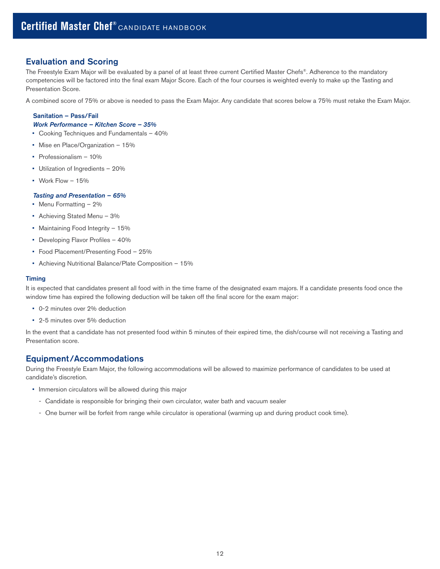# <span id="page-11-0"></span>Evaluation and Scoring

The Freestyle Exam Major will be evaluated by a panel of at least three current Certified Master Chefs®. Adherence to the mandatory competencies will be factored into the final exam Major Score. Each of the four courses is weighted evenly to make up the Tasting and Presentation Score.

A combined score of 75% or above is needed to pass the Exam Major. Any candidate that scores below a 75% must retake the Exam Major.

#### Sanitation – Pass/Fail *Work Performance – Kitchen Score – 35%*

- Cooking Techniques and Fundamentals 40%
- Mise en Place/Organization 15%
- Professionalism 10%
- Utilization of Ingredients 20%
- Work Flow 15%

#### *Tasting and Presentation – 65%*

- Menu Formatting 2%
- Achieving Stated Menu 3%
- Maintaining Food Integrity 15%
- Developing Flavor Profiles 40%
- Food Placement/Presenting Food 25%
- Achieving Nutritional Balance/Plate Composition 15%

#### **Timing**

It is expected that candidates present all food with in the time frame of the designated exam majors. If a candidate presents food once the window time has expired the following deduction will be taken off the final score for the exam major:

- 0-2 minutes over 2% deduction
- 2-5 minutes over 5% deduction

In the event that a candidate has not presented food within 5 minutes of their expired time, the dish/course will not receiving a Tasting and Presentation score.

## Equipment/Accommodations

During the Freestyle Exam Major, the following accommodations will be allowed to maximize performance of candidates to be used at candidate's discretion.

- Immersion circulators will be allowed during this major
	- Candidate is responsible for bringing their own circulator, water bath and vacuum sealer
	- One burner will be forfeit from range while circulator is operational (warming up and during product cook time).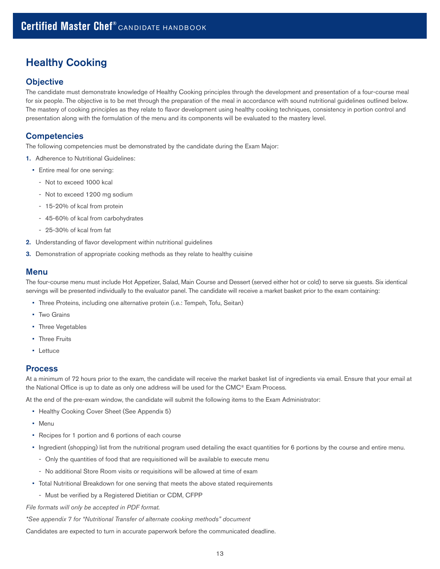# Healthy Cooking

# **Objective**

The candidate must demonstrate knowledge of Healthy Cooking principles through the development and presentation of a four-course meal for six people. The objective is to be met through the preparation of the meal in accordance with sound nutritional guidelines outlined below. The mastery of cooking principles as they relate to flavor development using healthy cooking techniques, consistency in portion control and presentation along with the formulation of the menu and its components will be evaluated to the mastery level.

# **Competencies**

The following competencies must be demonstrated by the candidate during the Exam Major:

- 1. Adherence to Nutritional Guidelines:
	- Entire meal for one serving:
		- Not to exceed 1000 kcal
		- Not to exceed 1200 mg sodium
		- 15-20% of kcal from protein
		- 45-60% of kcal from carbohydrates
		- 25-30% of kcal from fat
- 2. Understanding of flavor development within nutritional guidelines
- 3. Demonstration of appropriate cooking methods as they relate to healthy cuisine

# Menu

The four-course menu must include Hot Appetizer, Salad, Main Course and Dessert (served either hot or cold) to serve six guests. Six identical servings will be presented individually to the evaluator panel. The candidate will receive a market basket prior to the exam containing:

- Three Proteins, including one alternative protein (i.e.: Tempeh, Tofu, Seitan)
- Two Grains
- Three Vegetables
- Three Fruits
- Lettuce

### Process

At a minimum of 72 hours prior to the exam, the candidate will receive the market basket list of ingredients via email. Ensure that your email at the National Office is up to date as only one address will be used for the CMC® Exam Process.

At the end of the pre-exam window, the candidate will submit the following items to the Exam Administrator:

- Healthy Cooking Cover Sheet (See Appendix 5)
- Menu
- Recipes for 1 portion and 6 portions of each course
- Ingredient (shopping) list from the nutritional program used detailing the exact quantities for 6 portions by the course and entire menu.
	- Only the quantities of food that are requisitioned will be available to execute menu
	- No additional Store Room visits or requisitions will be allowed at time of exam
- Total Nutritional Breakdown for one serving that meets the above stated requirements
	- Must be verified by a Registered Dietitian or CDM, CFPP

File formats will only be accepted in PDF format.

\*See appendix 7 for "Nutritional Transfer of alternate cooking methods" document

Candidates are expected to turn in accurate paperwork before the communicated deadline.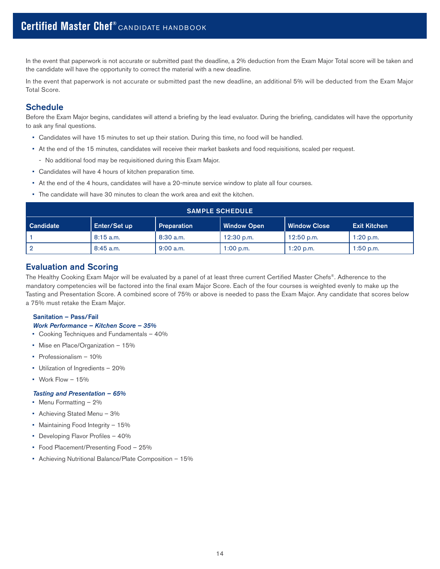In the event that paperwork is not accurate or submitted past the deadline, a 2% deduction from the Exam Major Total score will be taken and the candidate will have the opportunity to correct the material with a new deadline.

In the event that paperwork is not accurate or submitted past the new deadline, an additional 5% will be deducted from the Exam Major Total Score.

# **Schedule**

Before the Exam Major begins, candidates will attend a briefing by the lead evaluator. During the briefing, candidates will have the opportunity to ask any final questions.

- Candidates will have 15 minutes to set up their station. During this time, no food will be handled.
- At the end of the 15 minutes, candidates will receive their market baskets and food requisitions, scaled per request.
	- No additional food may be requisitioned during this Exam Major.
- Candidates will have 4 hours of kitchen preparation time.
- At the end of the 4 hours, candidates will have a 20-minute service window to plate all four courses.
- The candidate will have 30 minutes to clean the work area and exit the kitchen.

|                  | <b>SAMPLE SCHEDULE</b> |                    |                    |                     |                     |
|------------------|------------------------|--------------------|--------------------|---------------------|---------------------|
| <b>Candidate</b> | Enter/Set up           | <b>Preparation</b> | <b>Window Open</b> | <b>Window Close</b> | <b>Exit Kitchen</b> |
|                  | $8:15$ a.m.            | $8:30$ a.m.        | $12:30$ p.m.       | $12:50$ p.m.        | $1:20$ p.m.         |
|                  | $8:45$ a.m.            | 9:00 a.m.          | $1:00$ p.m.        | $1:20$ p.m.         | $1:50$ p.m.         |

# Evaluation and Scoring

The Healthy Cooking Exam Major will be evaluated by a panel of at least three current Certified Master Chefs®. Adherence to the mandatory competencies will be factored into the final exam Major Score. Each of the four courses is weighted evenly to make up the Tasting and Presentation Score. A combined score of 75% or above is needed to pass the Exam Major. Any candidate that scores below a 75% must retake the Exam Major.

#### Sanitation – Pass/Fail

*Work Performance – Kitchen Score – 35%*

- Cooking Techniques and Fundamentals 40%
- Mise en Place/Organization 15%
- Professionalism 10%
- Utilization of Ingredients 20%
- Work Flow 15%

#### *Tasting and Presentation – 65%*

- Menu Formatting 2%
- Achieving Stated Menu 3%
- Maintaining Food Integrity 15%
- Developing Flavor Profiles 40%
- Food Placement/Presenting Food 25%
- Achieving Nutritional Balance/Plate Composition 15%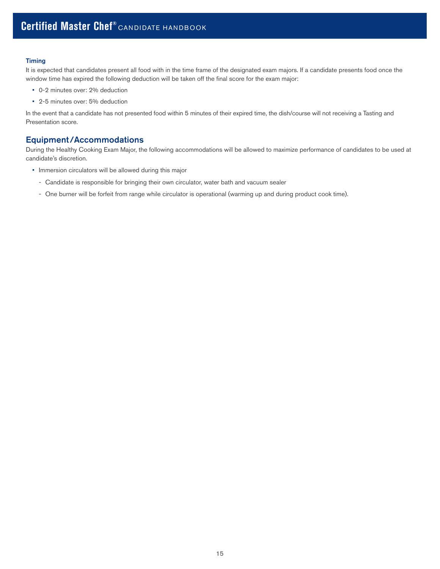#### Timing

It is expected that candidates present all food with in the time frame of the designated exam majors. If a candidate presents food once the window time has expired the following deduction will be taken off the final score for the exam major:

- 0-2 minutes over: 2% deduction
- 2-5 minutes over: 5% deduction

In the event that a candidate has not presented food within 5 minutes of their expired time, the dish/course will not receiving a Tasting and Presentation score.

# Equipment/Accommodations

During the Healthy Cooking Exam Major, the following accommodations will be allowed to maximize performance of candidates to be used at candidate's discretion.

- Immersion circulators will be allowed during this major
	- Candidate is responsible for bringing their own circulator, water bath and vacuum sealer
	- One burner will be forfeit from range while circulator is operational (warming up and during product cook time).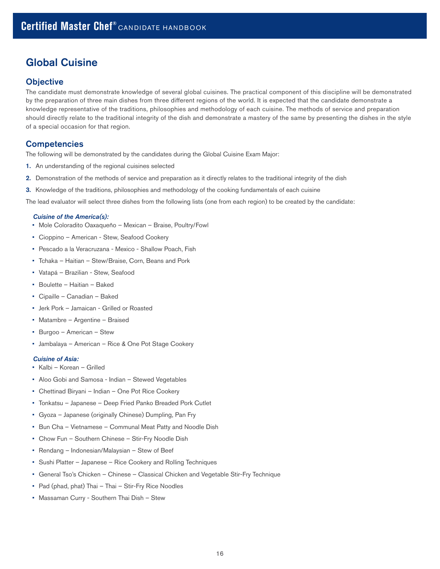# Global Cuisine

# **Objective**

The candidate must demonstrate knowledge of several global cuisines. The practical component of this discipline will be demonstrated by the preparation of three main dishes from three different regions of the world. It is expected that the candidate demonstrate a knowledge representative of the traditions, philosophies and methodology of each cuisine. The methods of service and preparation should directly relate to the traditional integrity of the dish and demonstrate a mastery of the same by presenting the dishes in the style of a special occasion for that region.

# **Competencies**

The following will be demonstrated by the candidates during the Global Cuisine Exam Major:

- 1. An understanding of the regional cuisines selected
- 2. Demonstration of the methods of service and preparation as it directly relates to the traditional integrity of the dish
- 3. Knowledge of the traditions, philosophies and methodology of the cooking fundamentals of each cuisine

The lead evaluator will select three dishes from the following lists (one from each region) to be created by the candidate:

#### *Cuisine of the America(s):*

- Mole Coloradito Oaxaqueño Mexican Braise, Poultry/Fowl
- Cioppino American Stew, Seafood Cookery
- Pescado a la Veracruzana Mexico Shallow Poach, Fish
- Tchaka Haitian Stew/Braise, Corn, Beans and Pork
- Vatapá Brazilian Stew, Seafood
- Boulette Haitian Baked
- Cipaille Canadian Baked
- Jerk Pork Jamaican Grilled or Roasted
- Matambre Argentine Braised
- Burgoo American Stew
- Jambalaya American Rice & One Pot Stage Cookery

#### *Cuisine of Asia:*

- Kalbi Korean Grilled
- Aloo Gobi and Samosa Indian Stewed Vegetables
- Chettinad Biryani Indian One Pot Rice Cookery
- Tonkatsu Japanese Deep Fried Panko Breaded Pork Cutlet
- Gyoza Japanese (originally Chinese) Dumpling, Pan Fry
- Bun Cha Vietnamese Communal Meat Patty and Noodle Dish
- Chow Fun Southern Chinese Stir-Fry Noodle Dish
- Rendang Indonesian/Malaysian Stew of Beef
- Sushi Platter Japanese Rice Cookery and Rolling Techniques
- General Tso's Chicken Chinese Classical Chicken and Vegetable Stir-Fry Technique
- Pad (phad, phat) Thai Thai Stir-Fry Rice Noodles
- Massaman Curry Southern Thai Dish Stew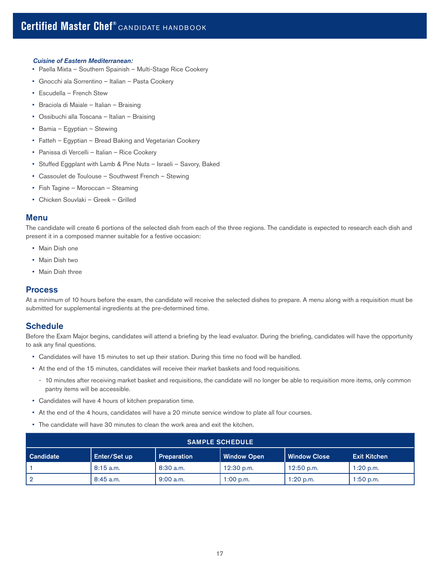#### *Cuisine of Eastern Mediterranean:*

- Paella Mixta Southern Spainish Multi-Stage Rice Cookery
- Gnocchi ala Sorrentino Italian Pasta Cookery
- Escudella French Stew
- Braciola di Maiale Italian Braising
- Ossibuchi alla Toscana Italian Braising
- Bamia Egyptian Stewing
- Fatteh Egyptian Bread Baking and Vegetarian Cookery
- Panissa di Vercelli Italian Rice Cookery
- Stuffed Eggplant with Lamb & Pine Nuts Israeli Savory, Baked
- Cassoulet de Toulouse Southwest French Stewing
- Fish Tagine Moroccan Steaming
- Chicken Souvlaki Greek Grilled

### Menu

The candidate will create 6 portions of the selected dish from each of the three regions. The candidate is expected to research each dish and present it in a composed manner suitable for a festive occasion:

- Main Dish one
- Main Dish two
- Main Dish three

## **Process**

At a minimum of 10 hours before the exam, the candidate will receive the selected dishes to prepare. A menu along with a requisition must be submitted for supplemental ingredients at the pre-determined time.

## **Schedule**

Before the Exam Major begins, candidates will attend a briefing by the lead evaluator. During the briefing, candidates will have the opportunity to ask any final questions.

- Candidates will have 15 minutes to set up their station. During this time no food will be handled.
- At the end of the 15 minutes, candidates will receive their market baskets and food requisitions.
	- 10 minutes after receiving market basket and requisitions, the candidate will no longer be able to requisition more items, only common pantry items will be accessible.
- Candidates will have 4 hours of kitchen preparation time.
- At the end of the 4 hours, candidates will have a 20 minute service window to plate all four courses.
- The candidate will have 30 minutes to clean the work area and exit the kitchen.

|                  | <b>SAMPLE SCHEDULE</b> |                    |                    |              |                     |
|------------------|------------------------|--------------------|--------------------|--------------|---------------------|
| <b>Candidate</b> | Enter/Set up           | <b>Preparation</b> | <b>Window Open</b> | Window Close | <b>Exit Kitchen</b> |
|                  | $8:15$ a.m.            | $8:30$ a.m.        | $12:30$ p.m.       | $12:50$ p.m. | $1:20$ p.m.         |
| 2                | $8:45$ a.m.            | $9:00$ a.m.        | $1:00$ p.m.        | 1:20 p.m.    | $1:50$ p.m.         |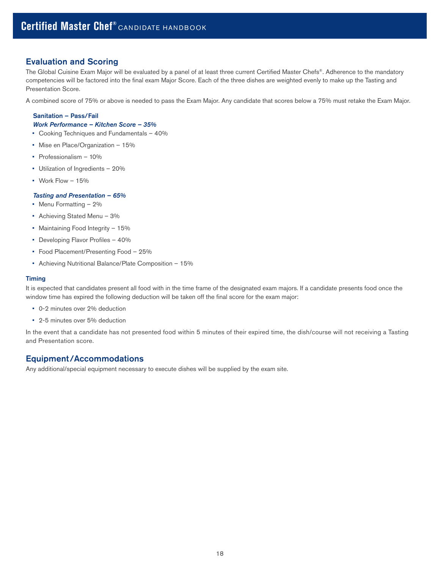# <span id="page-17-0"></span>Evaluation and Scoring

The Global Cuisine Exam Major will be evaluated by a panel of at least three current Certified Master Chefs®. Adherence to the mandatory competencies will be factored into the final exam Major Score. Each of the three dishes are weighted evenly to make up the Tasting and Presentation Score.

A combined score of 75% or above is needed to pass the Exam Major. Any candidate that scores below a 75% must retake the Exam Major.

#### Sanitation – Pass/Fail *Work Performance – Kitchen Score – 35%*

- Cooking Techniques and Fundamentals 40%
- Mise en Place/Organization 15%
- Professionalism 10%
- Utilization of Ingredients 20%
- Work Flow 15%

#### *Tasting and Presentation – 65%*

- Menu Formatting 2%
- Achieving Stated Menu 3%
- Maintaining Food Integrity 15%
- Developing Flavor Profiles 40%
- Food Placement/Presenting Food 25%
- Achieving Nutritional Balance/Plate Composition 15%

#### **Timing**

It is expected that candidates present all food with in the time frame of the designated exam majors. If a candidate presents food once the window time has expired the following deduction will be taken off the final score for the exam major:

- 0-2 minutes over 2% deduction
- 2-5 minutes over 5% deduction

In the event that a candidate has not presented food within 5 minutes of their expired time, the dish/course will not receiving a Tasting and Presentation score.

# Equipment/Accommodations

Any additional/special equipment necessary to execute dishes will be supplied by the exam site.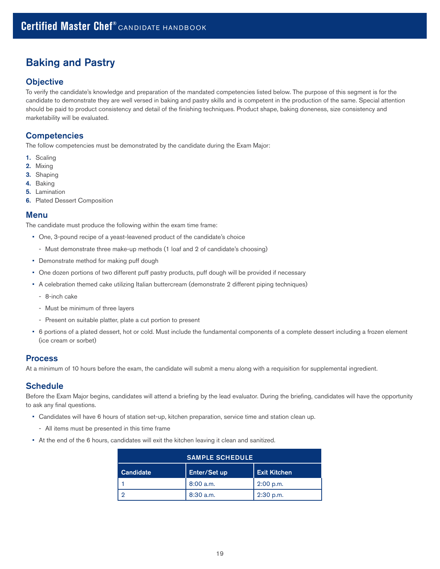# <span id="page-18-0"></span>Baking and Pastry

# **Objective**

To verify the candidate's knowledge and preparation of the mandated competencies listed below. The purpose of this segment is for the candidate to demonstrate they are well versed in baking and pastry skills and is competent in the production of the same. Special attention should be paid to product consistency and detail of the finishing techniques. Product shape, baking doneness, size consistency and marketability will be evaluated.

# **Competencies**

The follow competencies must be demonstrated by the candidate during the Exam Major:

- 1. Scaling
- 2. Mixing
- 3. Shaping
- 4. Baking
- 5. Lamination
- **6.** Plated Dessert Composition

### Menu

The candidate must produce the following within the exam time frame:

- One, 3-pound recipe of a yeast-leavened product of the candidate's choice
	- Must demonstrate three make-up methods (1 loaf and 2 of candidate's choosing)
- Demonstrate method for making puff dough
- One dozen portions of two different puff pastry products, puff dough will be provided if necessary
- A celebration themed cake utilizing Italian buttercream (demonstrate 2 different piping techniques)
	- 8-inch cake
	- Must be minimum of three layers
	- Present on suitable platter, plate a cut portion to present
- 6 portions of a plated dessert, hot or cold. Must include the fundamental components of a complete dessert including a frozen element (ice cream or sorbet)

## Process

At a minimum of 10 hours before the exam, the candidate will submit a menu along with a requisition for supplemental ingredient.

## **Schedule**

Before the Exam Major begins, candidates will attend a briefing by the lead evaluator. During the briefing, candidates will have the opportunity to ask any final questions.

- Candidates will have 6 hours of station set-up, kitchen preparation, service time and station clean up.
	- All items must be presented in this time frame
- At the end of the 6 hours, candidates will exit the kitchen leaving it clean and sanitized.

|                  | <b>SAMPLE SCHEDULE</b> |                     |
|------------------|------------------------|---------------------|
| <b>Candidate</b> | Enter/Set up           | <b>Exit Kitchen</b> |
|                  | $8:00$ a.m.            | $2:00$ p.m.         |
|                  | $8:30$ a.m.            | $2:30$ p.m.         |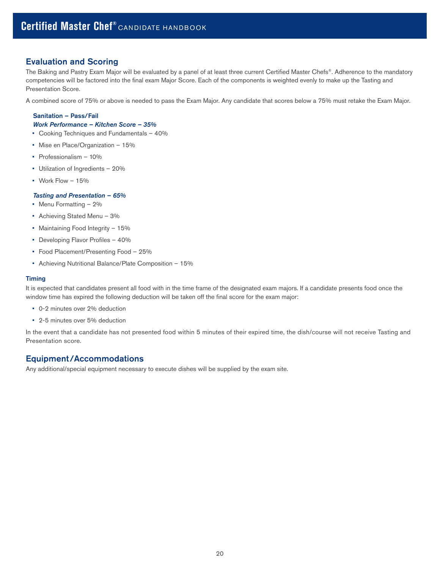# Evaluation and Scoring

The Baking and Pastry Exam Major will be evaluated by a panel of at least three current Certified Master Chefs®. Adherence to the mandatory competencies will be factored into the final exam Major Score. Each of the components is weighted evenly to make up the Tasting and Presentation Score.

A combined score of 75% or above is needed to pass the Exam Major. Any candidate that scores below a 75% must retake the Exam Major.

# Sanitation – Pass/Fail

# *Work Performance – Kitchen Score – 35%*

- Cooking Techniques and Fundamentals 40%
- Mise en Place/Organization 15%
- Professionalism 10%
- Utilization of Ingredients 20%
- Work Flow 15%

#### *Tasting and Presentation – 65%*

- Menu Formatting 2%
- Achieving Stated Menu 3%
- Maintaining Food Integrity 15%
- Developing Flavor Profiles 40%
- Food Placement/Presenting Food 25%
- Achieving Nutritional Balance/Plate Composition 15%

#### **Timing**

It is expected that candidates present all food with in the time frame of the designated exam majors. If a candidate presents food once the window time has expired the following deduction will be taken off the final score for the exam major:

- 0-2 minutes over 2% deduction
- 2-5 minutes over 5% deduction

In the event that a candidate has not presented food within 5 minutes of their expired time, the dish/course will not receive Tasting and Presentation score.

# Equipment/Accommodations

Any additional/special equipment necessary to execute dishes will be supplied by the exam site.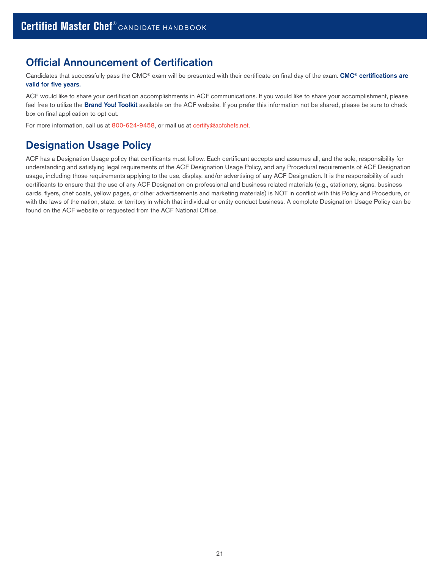# Official Announcement of Certification

Candidates that successfully pass the CMC® exam will be presented with their certificate on final day of the exam. CMC® certifications are valid for five years.

ACF would like to share your certification accomplishments in ACF communications. If you would like to share your accomplishment, please feel free to utilize the [Brand You! Toolkit](http://www.acfchefs.org/download/documents/certify/certification/toolkit.pdf) available on the ACF website. If you prefer this information not be shared, please be sure to check box on final application to opt out.

For more information, call us at 800-624-9458, or mail us at [certify@acfchefs.net](mailto:certify%40acfchefs.net?subject=).

# Designation Usage Policy

ACF has a Designation Usage policy that certificants must follow. Each certificant accepts and assumes all, and the sole, responsibility for understanding and satisfying legal requirements of the ACF Designation Usage Policy, and any Procedural requirements of ACF Designation usage, including those requirements applying to the use, display, and/or advertising of any ACF Designation. It is the responsibility of such certificants to ensure that the use of any ACF Designation on professional and business related materials (e.g., stationery, signs, business cards, flyers, chef coats, yellow pages, or other advertisements and marketing materials) is NOT in conflict with this Policy and Procedure, or with the laws of the nation, state, or territory in which that individual or entity conduct business. A complete Designation Usage Policy can be found on the ACF website or requested from the ACF National Office.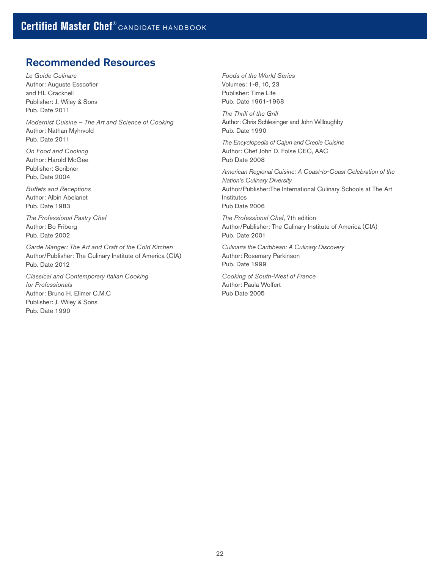# Recommended Resources

Le Guide Culinare Author: Auguste Esscofier and HL Cracknell Publisher: J. Wiley & Sons Pub. Date 2011

Modernist Cuisine – The Art and Science of Cooking Author: Nathan Myhrvold Pub. Date 2011

On Food and Cooking Author: Harold McGee Publisher: Scribner Pub. Date 2004

Buffets and Receptions Author: Albin Abelanet Pub. Date 1983

The Professional Pastry Chef Author: Bo Friberg Pub. Date 2002

Garde Manger: The Art and Craft of the Cold Kitchen Author/Publisher: The Culinary Institute of America (CIA) Pub. Date 2012

Classical and Contemporary Italian Cooking for Professionals Author: Bruno H. Ellmer C.M.C Publisher: J. Wiley & Sons Pub. Date 1990

Foods of the World Series Volumes: 1-8, 10, 23 Publisher: Time Life Pub. Date 1961-1968

The Thrill of the Grill Author: Chris Schlesinger and John Willoughby Pub. Date 1990

The Encyclopedia of Cajun and Creole Cuisine Author: Chef John D. Folse CEC, AAC Pub Date 2008

American Regional Cuisine: A Coast-to-Coast Celebration of the Nation's Culinary Diversity Author/Publisher:The International Culinary Schools at The Art Institutes Pub Date 2006

The Professional Chef, 7th edition Author/Publisher: The Culinary Institute of America (CIA) Pub. Date 2001

Culinaria the Caribbean: A Culinary Discovery Author: Rosemary Parkinson Pub. Date 1999

Cooking of South-West of France Author: Paula Wolfert Pub Date 2005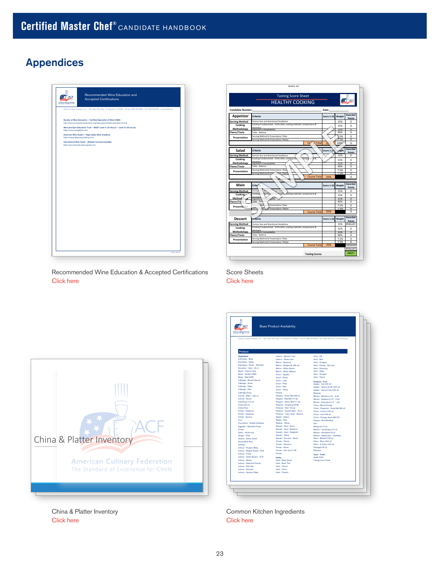# <span id="page-22-0"></span>Appendices

| <b>American Californi Federation</b><br>The bandard of four more by Chris | Recommended Wine Education and<br><b>Accepted Certifications</b>                                                                                         |  |
|---------------------------------------------------------------------------|----------------------------------------------------------------------------------------------------------------------------------------------------------|--|
|                                                                           | American Culinary Federation, Inc. . 180 Center Place Way . St. Augustine, FL 32035 . Tall-free: (800) 624-9458 . Fax: (904) 940-0741 . www.actchefr.org |  |
|                                                                           | Society of Wine Educators - Certified Specialist of Wine (CSW)<br>http://www.societyofwineeducators.org/index.php/certified-specialist-of-wine           |  |
| https://www.wsetglobal.com/                                               | Wine and Spirt Education Trust - WSET Level II (15 Hours) - Level III (42 hours)                                                                         |  |
| https://napavalleywineacademy.com/                                        | American Wine Expert - Napa Valley Wine Academy                                                                                                          |  |
|                                                                           | International Wine Guild - Multiple Courses Available                                                                                                    |  |
| http://www.internationalwineguild.com/                                    |                                                                                                                                                          |  |
|                                                                           |                                                                                                                                                          |  |
|                                                                           |                                                                                                                                                          |  |
|                                                                           |                                                                                                                                                          |  |
|                                                                           |                                                                                                                                                          |  |
|                                                                           |                                                                                                                                                          |  |
|                                                                           |                                                                                                                                                          |  |
|                                                                           |                                                                                                                                                          |  |
|                                                                           |                                                                                                                                                          |  |
|                                                                           |                                                                                                                                                          |  |
|                                                                           |                                                                                                                                                          |  |
|                                                                           |                                                                                                                                                          |  |
|                                                                           |                                                                                                                                                          |  |
|                                                                           |                                                                                                                                                          |  |
|                                                                           |                                                                                                                                                          |  |
|                                                                           |                                                                                                                                                          |  |
|                                                                           |                                                                                                                                                          |  |
|                                                                           |                                                                                                                                                          |  |

|                          | <b>Tasting Score Sheet</b><br><b>HEALTHY COOKING</b>                     |                    |            |                          |
|--------------------------|--------------------------------------------------------------------------|--------------------|------------|--------------------------|
| <b>Candidate Number:</b> |                                                                          | Date:              |            |                          |
| Appetizer                | Criteria                                                                 | Score 1-10         | Weight     | Awarded<br>Points        |
| <b>Serving Method</b>    | Portion Size and Nutritional Guidelines                                  |                    | 15%        | $\Omega$                 |
| Cooking                  | Cooking Fundamentals - Knife skills, cooking methods, temperature &      |                    | 15%        | $\Omega$                 |
| Methodology              | doneness<br>Ingredient Compatability                                     |                    | 15%        | π                        |
| <b>Flavor/Taste</b>      | Taste - Balance                                                          |                    | 40%        | $\Omega$                 |
| Presentation             | Serving Method & Presentation: Plate                                     |                    | 7.5%       | $\Omega$                 |
|                          | Serving Method & Presentation: Platter                                   |                    | 75%        | $\overline{0}$           |
|                          | Ce unse Total                                                            |                    | 100%       | $\Omega$                 |
| Salad                    | Criteria                                                                 | <b>Score 1-10.</b> | Weight     | Awarded<br>Points        |
| <b>Serving Method</b>    | Portion Size and Nutritional Guidelines                                  |                    | 15%        | n                        |
| Cooking                  | Cooking Fundamentals - Knife skills, cooking me:<br>temperature &<br>ode |                    |            | $\Omega$                 |
| Methodology              | doneness                                                                 |                    | 15%        |                          |
| <b>Flavor/Taste</b>      | Ingredient Compatability<br>Taste - Balance                              |                    | 15%<br>40% | π<br>n                   |
|                          | Serving Method & Presentation: Plate                                     |                    | 7.5%       | $\Omega$                 |
| <b>Presentation</b>      | Serving Method & Pret<br>Non: Platte                                     |                    | 7.5%       | ñ                        |
|                          | <b>Course Total</b>                                                      | 25%                |            | $\Omega$                 |
|                          |                                                                          |                    |            |                          |
| Main                     | Criteria                                                                 | <b>Score 1-10</b>  | Weight     | Awarded<br>Points        |
| <b>Serving Method</b>    | and Nutrimoal Guideli<br>Portion Sia                                     |                    | 15%        | n                        |
| Cooking                  | Cooking Ft<br>damentals - Knife skills, cooking methods, temperature &   |                    | 15%        | $\Omega$                 |
| Method <sup>6</sup> load | doneneo<br>Ingredient<br><b>JAIRPLE</b>                                  |                    | 15%        | π                        |
| Flavor/Taste             | Taste - Balance                                                          |                    | 40%        | $\Omega$                 |
|                          | Presentation: Plate<br>Meth<br>od 8<br>Serving                           |                    | 7.5%       | $\Omega$                 |
| Presentation             | Service N<br>& Presentation: Platter<br><b>Search</b>                    |                    | 7.5%       | ñ                        |
|                          | <b>Course Total</b>                                                      | 25%                |            | $\Omega$                 |
| <b>Dessert</b>           | criteria                                                                 | <b>Score 1-10</b>  | Weight     | <b>Awarded</b><br>Points |
| <b>Serving Method</b>    | Portion Size and Nutritional Guidelines                                  |                    | 15%        | #VALUE!                  |
| Cooking                  | Cooking Fundamentals - Knife skills, cooking methods, temperature &      |                    | 15%        | $\Omega$                 |
| Methodology              | doneness<br>Ingredient Compatability                                     |                    | 15%        | π                        |
| Flavor/Taste             | Taste - Ralance                                                          |                    | 40%        | n                        |
|                          | Serving Method & Presentation: Plate                                     |                    | 7.5%       | $\Omega$                 |
| Presentation             | Serving Method & Presentation: Platter                                   |                    | 7.5%       | $\overline{0}$           |
|                          | <b>Course Total</b>                                                      | 25%                |            | ,,,,,,,,,,               |
|                          |                                                                          |                    |            | #VALUE!                  |

Recommended Wine Education & Accepted Certifications [Click here](http://www.acfchefs.org/download/documents/certify/CMC_Appendix-01-Recommended_Wine_Education_and_Accepted_Certifications.pdf)

Score Sheets [Click here](http://www.acfchefs.org/download/documents/certify/CMC_Appendix-02-Healthy_Cooking_Sample_Tasting_Score_Sheet.pdf)



China & Platter Inventory [Cl](http://www.acfchefs.org/download/documents/certify/CMC_Appendix-03-China_and_Platter_Inventory.pdf)ick here



Common Kitchen Ingredients [Cl](http://www.acfchefs.org/download/documents/certify/CMC_Appendix-04-Product_Inventory_Base.pdf)ick here